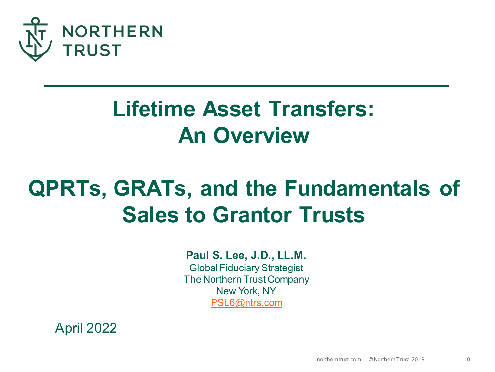

# **Lifetime Asset Transfers: An Overview**

# **QPRTs, GRATs, and the Fundamentals of Sales to Grantor Trusts**

**Paul S. Lee, J.D., LL.M.** Global Fiduciary Strategist The Northern Trust Company New York, NY [PSL6@ntrs.com](mailto:PSL6@ntrs.com)

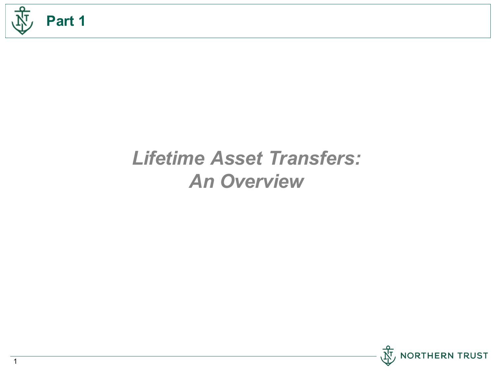

# *Lifetime Asset Transfers: An Overview*



1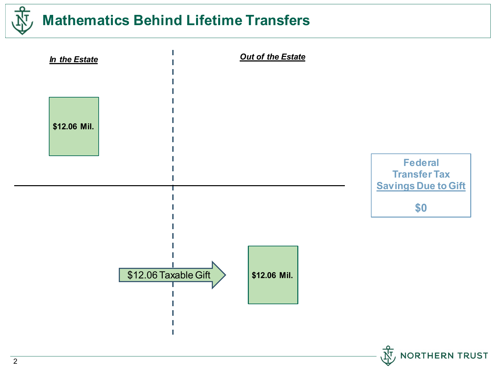

# **Mathematics Behind Lifetime Transfers**

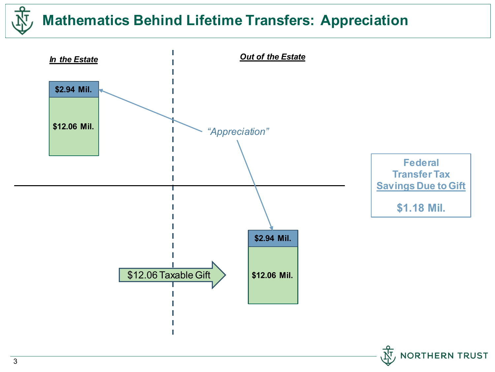# **Mathematics Behind Lifetime Transfers: Appreciation**

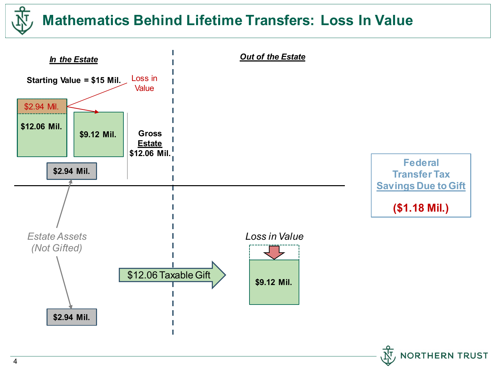# **Mathematics Behind Lifetime Transfers: Loss In Value**

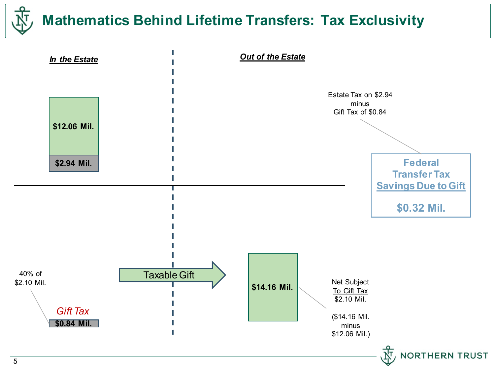

# **Mathematics Behind Lifetime Transfers: Tax Exclusivity**

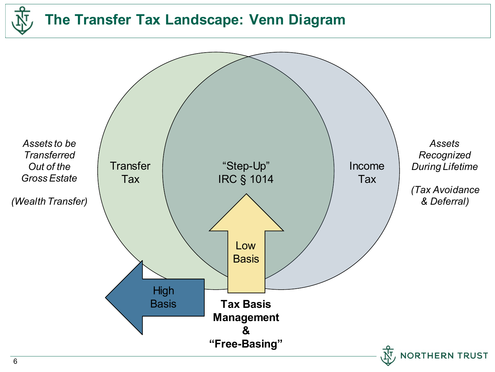

#### **The Transfer Tax Landscape: Venn Diagram**

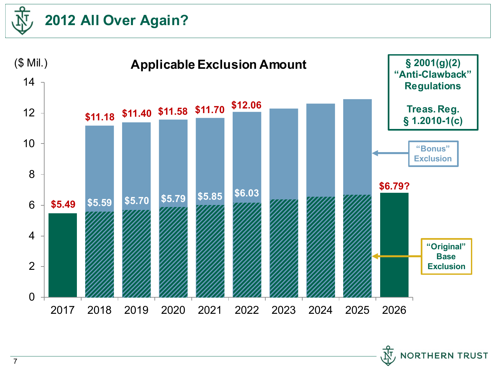



**NORTHERN TRUST**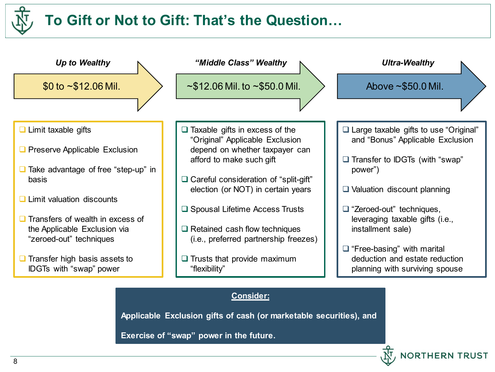# **To Gift or Not to Gift: That's the Question…**



**Applicable Exclusion gifts of cash (or marketable securities), and**

**NORTHERN TRUST** 

**Exercise of "swap" power in the future.**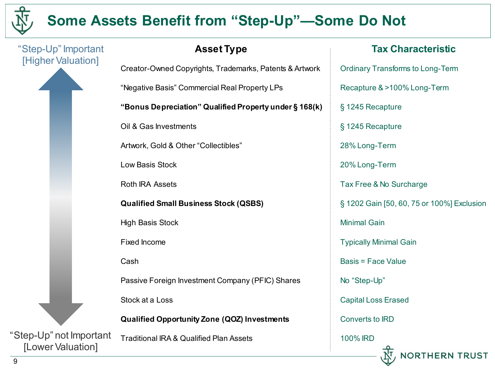

9

# **Some Assets Benefit from "Step-Up"—Some Do Not**

**Tax Characteristic** "Step-Up" Important **Asset Type** [Higher Valuation] Creator-Owned Copyrights, Trademarks, Patents & Artwork Ordinary Transforms to Long-Term "Negative Basis" Commercial Real Property LPs Recapture & >100% Long-Term **"Bonus Depreciation" Qualified Property under § 168(k)** § 1245 Recapture Oil & Gas Investments § 1245 Recapture Artwork, Gold & Other "Collectibles" 28% Long-Term Low Basis Stock 20% Long-Term Roth IRA Assets Tax Free & No Surcharge **Qualified Small Business Stock (QSBS)** § 1202 Gain [50, 60, 75 or 100%] Exclusion High Basis Stock Minimal Gain Fixed Income Typically Minimal Gain Cash Basis = Face Value Passive Foreign Investment Company (PFIC) Shares No "Step-Up" Stock at a Loss Capital Loss Erased Converts to IRD **Qualified Opportunity Zone (QOZ) Investments** "Step-Up" not Important Traditional IRA & Qualified Plan Assets 100% IRD [Lower Valuation]**HERN TRUST**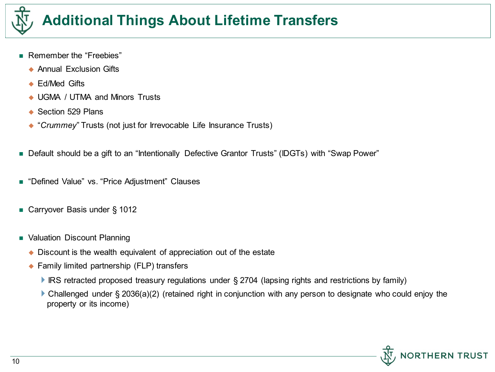

# **Additional Things About Lifetime Transfers**

- Remember the "Freebies"
	- ◆ Annual Exclusion Gifts
	- ◆ Ed/Med Gifts
	- ◆ UGMA / UTMA and Minors Trusts
	- ◆ Section 529 Plans
	- "*Crummey*" Trusts (not just for Irrevocable Life Insurance Trusts)
- Default should be a gift to an "Intentionally Defective Grantor Trusts" (IDGTs) with "Swap Power"
- "Defined Value" vs. "Price Adjustment" Clauses
- Carryover Basis under § 1012
- **NALUATION Discount Planning** 
	- ◆ Discount is the wealth equivalent of appreciation out of the estate
	- ◆ Family limited partnership (FLP) transfers
		- ▶ IRS retracted proposed treasury regulations under § 2704 (lapsing rights and restrictions by family)
		- ▶ Challenged under § 2036(a)(2) (retained right in conjunction with any person to designate who could enjoy the property or its income)

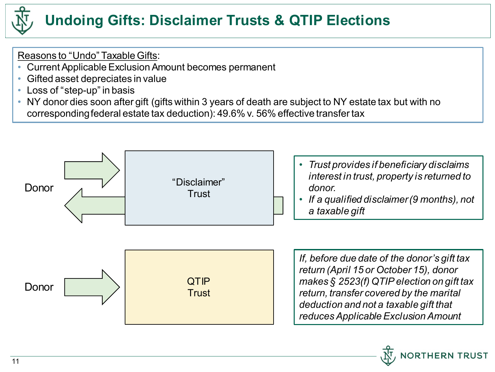

Reasons to "Undo" Taxable Gifts:

- Current Applicable Exclusion Amount becomes permanent
- Gifted asset depreciates in value
- Loss of "step-up" in basis
- NY donor dies soon after gift (gifts within 3 years of death are subject to NY estate tax but with no corresponding federal estate tax deduction): 49.6% v. 56% effective transfer tax

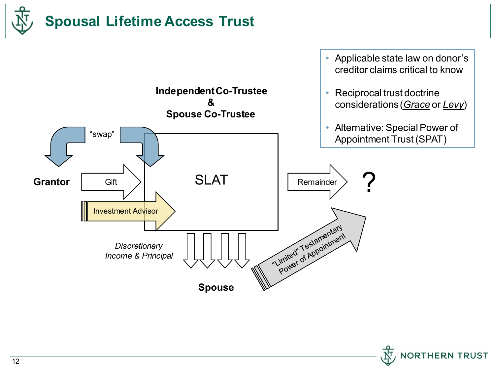



**NORTHERN TRUST**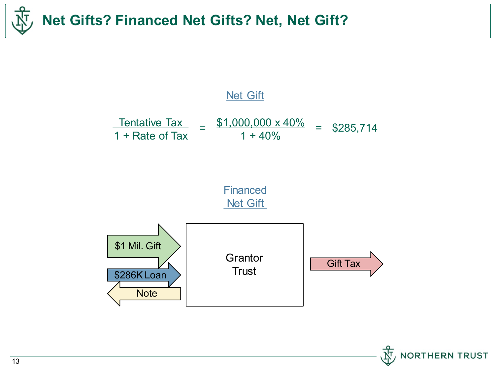



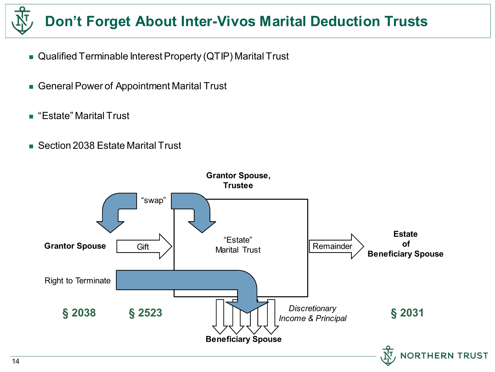# **Don't Forget About Inter-Vivos Marital Deduction Trusts**

- Qualified Terminable Interest Property (QTIP) Marital Trust
- General Power of Appointment Marital Trust
- "Estate" Marital Trust
- Section 2038 Estate Marital Trust

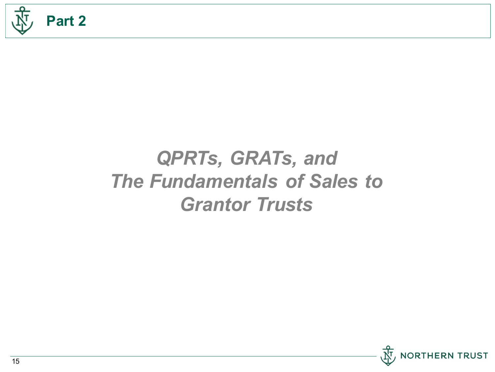

# *QPRTs, GRATs, and The Fundamentals of Sales to Grantor Trusts*

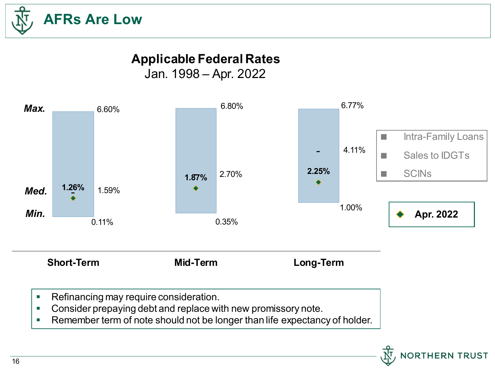

### **Applicable Federal Rates**

Jan. 1998 – Apr. 2022



- **Consider prepaying debt and replace with new promissory note.**
- **Remember term of note should not be longer than life expectancy of holder.**

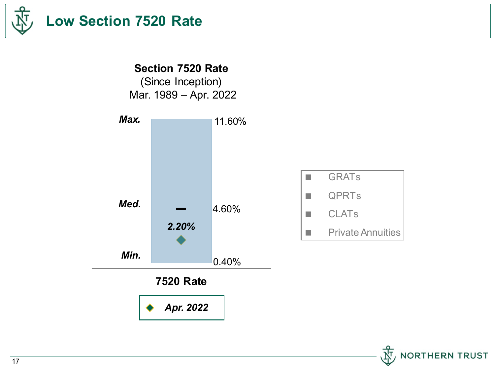

# **Low Section 7520 Rate**

**Section 7520 Rate** (Since Inception) Mar. 1989 – Apr. 2022



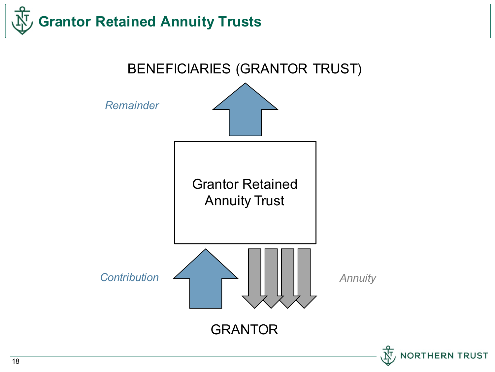



18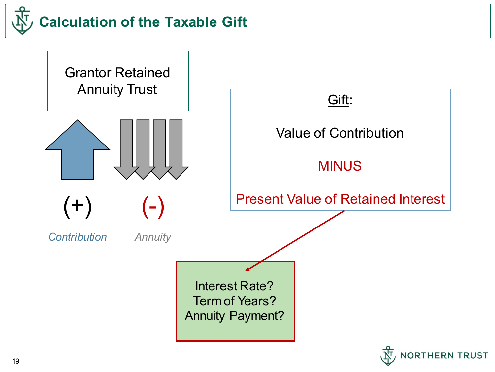

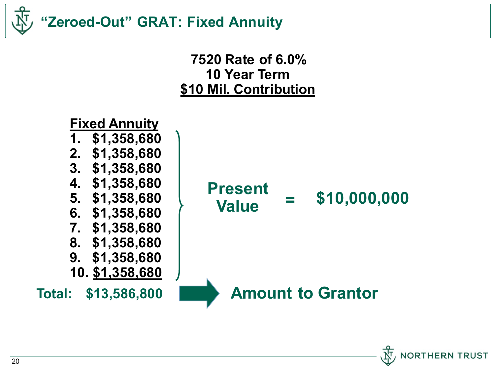



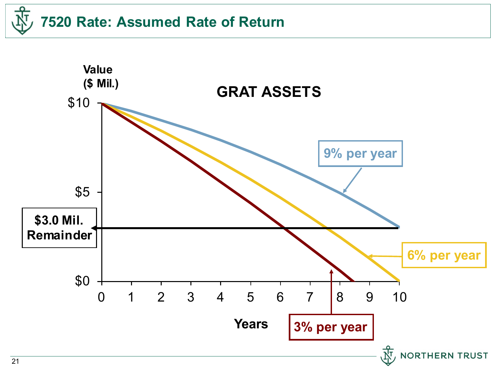# **7520 Rate: Assumed Rate of Return**

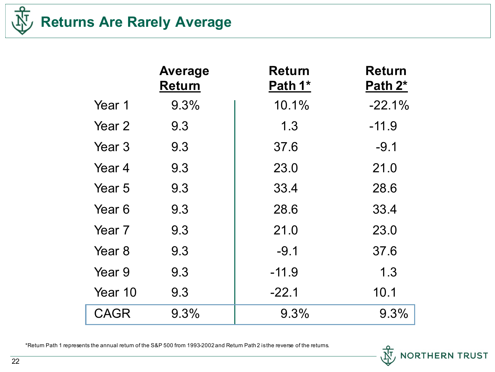

# **Returns Are Rarely Average**

|             | <b>Average</b><br><b>Return</b> | <b>Return</b><br>Path 1* | <b>Return</b><br>Path 2* |
|-------------|---------------------------------|--------------------------|--------------------------|
| Year 1      | 9.3%                            | 10.1%                    | $-22.1%$                 |
| Year 2      | 9.3                             | 1.3                      | $-11.9$                  |
| Year 3      | 9.3                             | 37.6                     | $-9.1$                   |
| Year 4      | 9.3                             | 23.0                     | 21.0                     |
| Year 5      | 9.3                             | 33.4                     | 28.6                     |
| Year 6      | 9.3                             | 28.6                     | 33.4                     |
| Year 7      | 9.3                             | 21.0                     | 23.0                     |
| Year 8      | 9.3                             | $-9.1$                   | 37.6                     |
| Year 9      | 9.3                             | $-11.9$                  | 1.3                      |
| Year 10     | 9.3                             | $-22.1$                  | 10.1                     |
| <b>CAGR</b> | 9.3%                            | 9.3%                     | 9.3%                     |

\*Return Path 1 represents the annual return of the S&P 500 from 1993-2002 and Return Path 2 is the reverse of the returns.

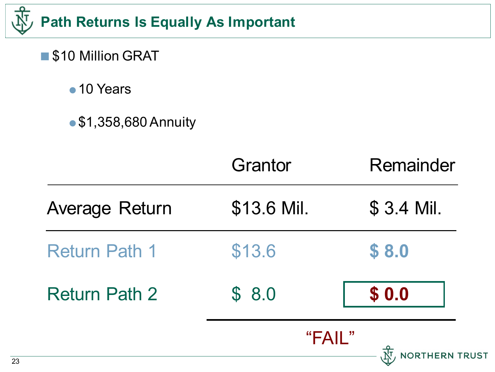

- \$10 Million GRAT
	- 10 Years
	- **\$1,358,680 Annuity**

|                      | Grantor     | Remainder             |
|----------------------|-------------|-----------------------|
| Average Return       | \$13.6 Mil. | \$ 3.4 Mil.           |
| <b>Return Path 1</b> | \$13.6      | \$8.0                 |
| <b>Return Path 2</b> | \$8.0       | \$0.0                 |
|                      | "FAIL"      | <b>NORTHERN TRUST</b> |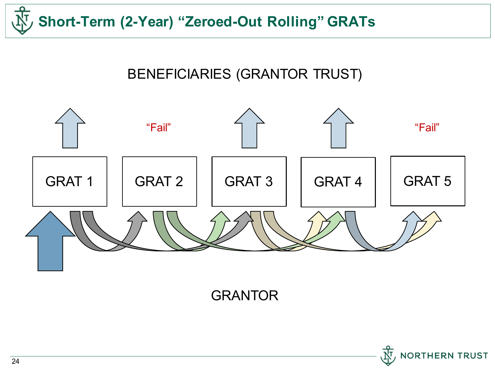

#### BENEFICIARIES (GRANTOR TRUST)



GRANTOR

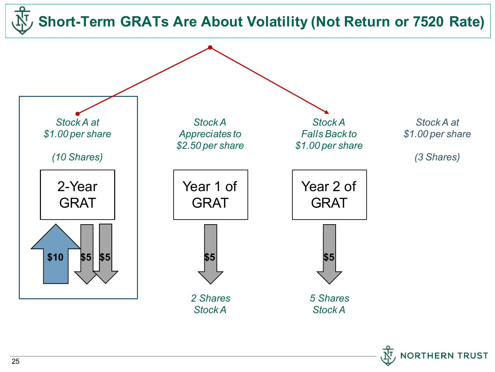**Short-Term GRATs Are About Volatility (Not Return or 7520 Rate)**



**ORTHERN TRUST**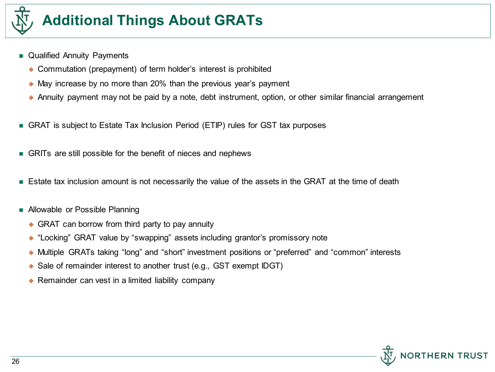

# **Additional Things About GRATs**

- **Qualified Annuity Payments** 
	- ◆ Commutation (prepayment) of term holder's interest is prohibited
	- May increase by no more than 20% than the previous year's payment
	- Annuity payment may not be paid by a note, debt instrument, option, or other similar financial arrangement
- GRAT is subject to Estate Tax Inclusion Period (ETIP) rules for GST tax purposes
- GRITs are still possible for the benefit of nieces and nephews
- **Estate tax inclusion amount is not necessarily the value of the assets in the GRAT at the time of death**
- Allowable or Possible Planning
	- ◆ GRAT can borrow from third party to pay annuity
	- ◆ "Locking" GRAT value by "swapping" assets including grantor's promissory note
	- Multiple GRATs taking "long" and "short" investment positions or "preferred" and "common" interests
	- ◆ Sale of remainder interest to another trust (e.g., GST exempt IDGT)
	- ◆ Remainder can vest in a limited liability company

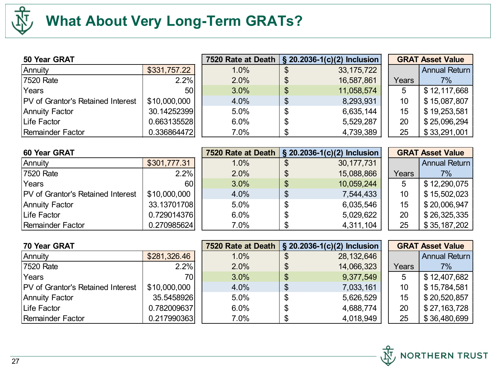

# **What About Very Long-Term GRATs?**

| 50 Year GRAT                             |              | 7520 Rate at Death   § 20.2036-1(c)(2) Inclusion |                  |       | <b>GRAT Asset Value</b> |
|------------------------------------------|--------------|--------------------------------------------------|------------------|-------|-------------------------|
| Annuity                                  | \$331,757.22 | 1.0%                                             | 33, 175, 722     |       | Annual Return           |
| 7520 Rate                                | 2.2%         | 2.0%                                             | 16,587,861       | Years | $7\%$                   |
| Years                                    | 50 l         | 3.0%                                             | \$<br>11,058,574 | 5     | \$12,117,668            |
| <b>PV</b> of Grantor's Retained Interest | \$10,000,000 | 4.0%                                             | \$<br>8,293,931  | 10    | \$15,087,807            |
| Annuity Factor                           | 30.14252399  | 5.0%                                             | \$<br>6,635,144  | 15    | \$19,253,581            |
| Life Factor                              | 0.663135528  | 6.0%                                             | \$<br>5,529,287  | 20    | \$25,096,294            |
| Remainder Factor                         | 0.336864472  | 7.0%                                             | 4,739,389        | 25    | \$33,291,001            |

| <b>60 Year GRAT</b>                      |              | 7520 Rate at Death   § 20.2036-1(c)(2) Inclusion |    |              |       | <b>GRAT Asset Value</b> |
|------------------------------------------|--------------|--------------------------------------------------|----|--------------|-------|-------------------------|
| Annuity                                  | \$301,777.31 | 1.0%                                             | \$ | 30, 177, 731 |       | Annual Return           |
| 7520 Rate                                | 2.2%         | 2.0%                                             | \$ | 15,088,866   | Years | $7\%$                   |
| Years                                    | 60           | 3.0%                                             | \$ | 10,059,244   | 5     | \$12,290,075            |
| <b>PV</b> of Grantor's Retained Interest | \$10,000,000 | 4.0%                                             | \$ | 7,544,433    | 10    | \$15,502,023            |
| Annuity Factor                           | 33.13701708  | 5.0%                                             | \$ | 6,035,546    | 15    | \$20,006,947            |
| Life Factor                              | 0.729014376  | 6.0%                                             | S  | 5,029,622    | 20    | \$26,325,335            |
| Remainder Factor                         | 0.270985624  | 7.0%                                             |    | 4,311,104    | 25    | \$35,187,202            |

| 70 Year GRAT                             |              |      |                           | 7520 Rate at Death   § 20.2036-1(c)(2) Inclusion |       | <b>GRAT Asset Value</b> |
|------------------------------------------|--------------|------|---------------------------|--------------------------------------------------|-------|-------------------------|
| Annuity                                  | \$281,326.46 | 1.0% | \$                        | 28, 132, 646                                     |       | Annual Return           |
| 7520 Rate                                | 2.2%         | 2.0% | \$                        | 14,066,323                                       | Years | $7\%$                   |
| Years                                    | 70           | 3.0% | \$                        | 9,377,549                                        | 5     | \$12,407,682            |
| <b>PV</b> of Grantor's Retained Interest | \$10,000,000 | 4.0% | $\boldsymbol{\mathsf{S}}$ | 7,033,161                                        | 10    | \$15,784,581            |
| Annuity Factor                           | 35.5458926   | 5.0% | \$                        | 5,626,529                                        | 15    | \$20,520,857            |
| Life Factor                              | 0.782009637  | 6.0% | \$.                       | 4,688,774                                        | 20    | \$27,163,728            |
| Remainder Factor                         | 0.217990363  | 7.0% |                           | 4,018,949                                        | 25    | \$36,480,699            |

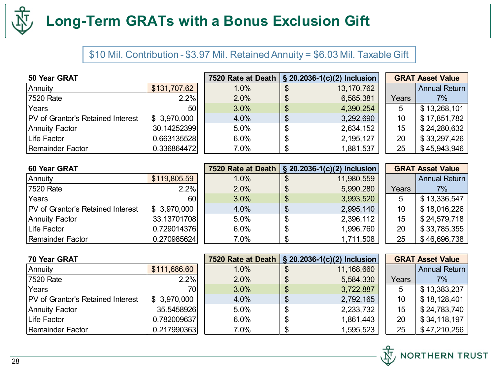

## **Long-Term GRATs with a Bonus Exclusion Gift**

#### \$10 Mil. Contribution - \$3.97 Mil. Retained Annuity = \$6.03 Mil. Taxable Gift

| 50 Year GRAT                             |                 |      |    | 7520 Rate at Death   § 20.2036-1(c)(2) Inclusion |       | <b>GRAT Asset Value</b> |
|------------------------------------------|-----------------|------|----|--------------------------------------------------|-------|-------------------------|
| Annuity                                  | \$131,707.62    | 1.0% |    | 13,170,762                                       |       | <b>Annual Return</b>    |
| 7520 Rate                                | 2.2%            | 2.0% | \$ | 6,585,381                                        | Years | 7%                      |
| Years                                    | 50 <sub>l</sub> | 3.0% | \$ | 4,390,254                                        | 5     | \$13,268,101            |
| <b>PV</b> of Grantor's Retained Interest | \$ 3,970,000    | 4.0% | \$ | 3,292,690                                        | 10    | \$17,851,782            |
| Annuity Factor                           | 30.14252399     | 5.0% | \$ | 2,634,152                                        | 15    | \$24,280,632            |
| Life Factor                              | 0.663135528     | 6.0% | ъ  | 2, 195, 127                                      | 20    | \$33,297,426            |
| Remainder Factor                         | 0.336864472     | 7.0% |    | 1,881,537                                        | 25    | \$45,943,946            |

| 60 Year GRAT                             |              |      |    | 7520 Rate at Death   § 20.2036-1(c)(2) Inclusion |       | <b>GRAT Asset Value</b> |
|------------------------------------------|--------------|------|----|--------------------------------------------------|-------|-------------------------|
| Annuity                                  | \$119,805.59 | 1.0% |    | 11,980,559                                       |       | <b>Annual Return</b>    |
| 7520 Rate                                | 2.2%         | 2.0% | \$ | 5,990,280                                        | Years | 7%                      |
| Years                                    | 60           | 3.0% | \$ | 3,993,520                                        | 5     | \$13,336,547            |
| <b>PV</b> of Grantor's Retained Interest | \$3,970,000  | 4.0% | \$ | 2,995,140                                        | 10    | \$18,016,226            |
| Annuity Factor                           | 33.13701708  | 5.0% | \$ | 2,396,112                                        | 15    | \$24,579,718            |
| Life Factor                              | 0.729014376  | 6.0% | \$ | 1,996,760                                        | 20    | \$33,785,355            |
| Remainder Factor                         | 0.270985624  | 7.0% | S  | 1,711,508                                        | 25    | \$46,696,738            |

| 70 Year GRAT                             |              |      | 7520 Rate at Death   § 20.2036-1(c)(2) Inclusion |       | <b>GRAT Asset Value</b> |
|------------------------------------------|--------------|------|--------------------------------------------------|-------|-------------------------|
| Annuity                                  | \$111,686.60 | 1.0% | 11,168,660                                       |       | <b>Annual Return</b>    |
| 7520 Rate                                | 2.2%         | 2.0% | 5,584,330                                        | Years | $7\%$                   |
| Years                                    | 70I          | 3.0% | \$<br>3,722,887                                  | 5     | \$13,383,237            |
| <b>PV</b> of Grantor's Retained Interest | \$ 3,970,000 | 4.0% | 2,792,165                                        | 10    | \$18,128,401            |
| Annuity Factor                           | 35.5458926   | 5.0% | \$<br>2,233,732                                  | 15    | \$24,783,740            |
| Life Factor                              | 0.782009637  | 6.0% | 1,861,443                                        | 20    | \$34,118,197            |
| Remainder Factor                         | 0.217990363  | 7.0% | 1,595,523                                        | 25    | \$47,210,256            |

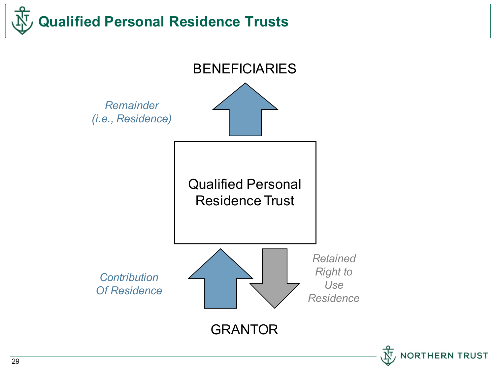

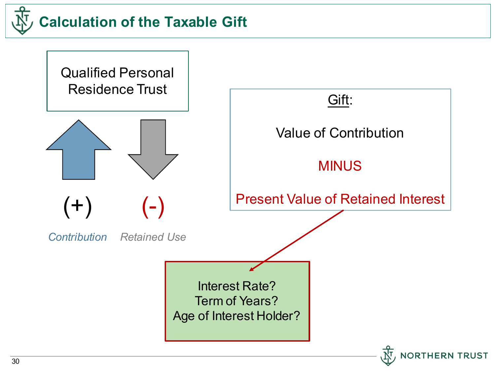

Qualified Personal Residence Trust



 $(+)$   $(-)$ 

*Contribution Retained Use*

Gift: Value of Contribution MINUS Present Value of Retained Interest Interest Rate? Term of Years? Age of Interest Holder?

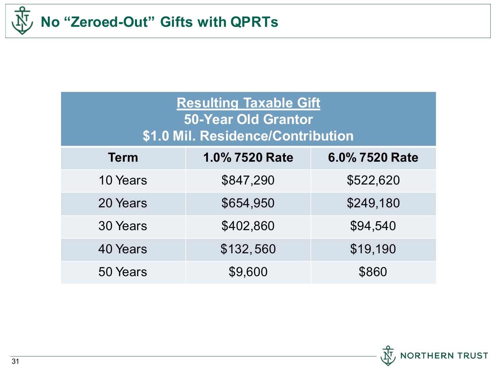

| <b>Resulting Taxable Gift</b><br><b>50-Year Old Grantor</b><br>\$1.0 Mil. Residence/Contribution |                |                |  |  |
|--------------------------------------------------------------------------------------------------|----------------|----------------|--|--|
| <b>Term</b>                                                                                      | 1.0% 7520 Rate | 6.0% 7520 Rate |  |  |
| 10 Years                                                                                         | \$847,290      | \$522,620      |  |  |
| 20 Years                                                                                         | \$654,950      | \$249,180      |  |  |
| 30 Years                                                                                         | \$402,860      | \$94,540       |  |  |
| 40 Years                                                                                         | \$132,560      | \$19,190       |  |  |
| 50 Years                                                                                         | \$9,600        | \$860          |  |  |

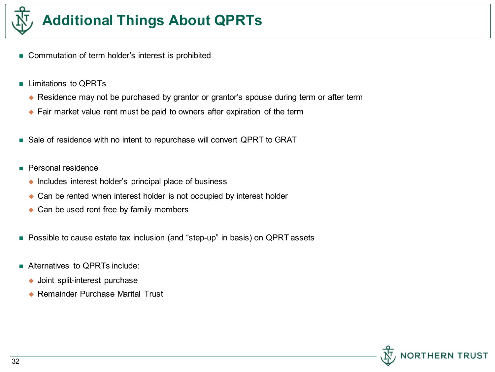

# **Additional Things About QPRTs**

- Commutation of term holder's interest is prohibited
- **Limitations to OPRTs** 
	- ◆ Residence may not be purchased by grantor or grantor's spouse during term or after term
	- ◆ Fair market value rent must be paid to owners after expiration of the term
- Sale of residence with no intent to repurchase will convert QPRT to GRAT
- **Personal residence** 
	- $\bullet$  Includes interest holder's principal place of business
	- ◆ Can be rented when interest holder is not occupied by interest holder
	- ◆ Can be used rent free by family members
- Possible to cause estate tax inclusion (and "step-up" in basis) on QPRT assets
- **Alternatives to OPRTs include:** 
	- ◆ Joint split-interest purchase
	- ◆ Remainder Purchase Marital Trust

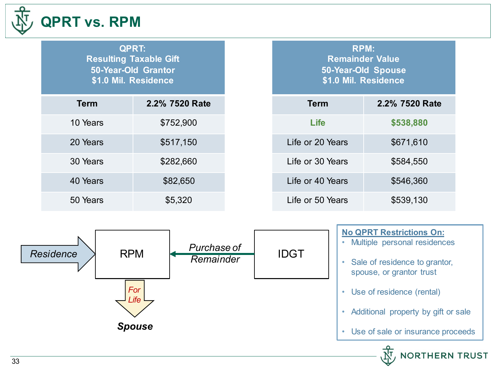

### **QPRT vs. RPM**

**QPRT: Resulting Taxable Gift 50-Year-Old Grantor \$1.0 Mil. Residence**

| <b>Term</b> | 2.2% 7520 Rate |
|-------------|----------------|
| 10 Years    | \$752,900      |
| 20 Years    | \$517,150      |
| 30 Years    | \$282,660      |
| 40 Years    | \$82,650       |
| 50 Years    | \$5,320        |

**RPM: Remainder Value 50-Year-Old Spouse \$1.0 Mil. Residence**

| Term             | 2.2% 7520 Rate |
|------------------|----------------|
| Life             | \$538,880      |
| Life or 20 Years | \$671,610      |
| Life or 30 Years | \$584,550      |
| Life or 40 Years | \$546,360      |
| Life or 50 Years | \$539,130      |



#### **No QPRT Restrictions On:**

• Multiple personal residences

- Sale of residence to grantor, spouse, or grantor trust
- Use of residence (rental)
- Additional property by gift or sale
- Use of sale or insurance proceeds

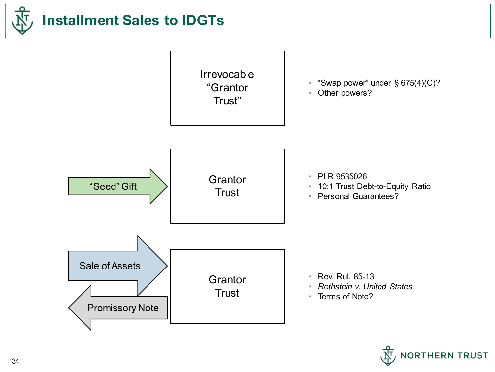

# **Installment Sales to IDGTs**



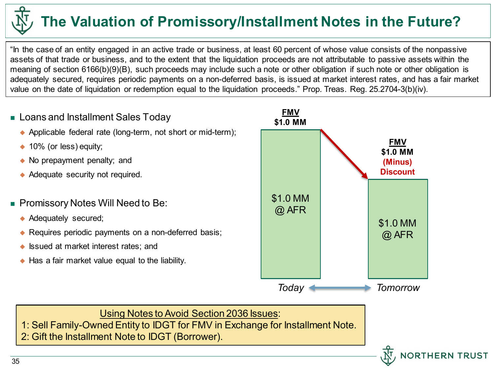# **The Valuation of Promissory/Installment Notes in the Future?**

"In the case of an entity engaged in an active trade or business, at least 60 percent of whose value consists of the nonpassive assets of that trade or business, and to the extent that the liquidation proceeds are not attributable to passive assets within the meaning of section 6166(b)(9)(B), such proceeds may include such a note or other obligation if such note or other obligation is adequately secured, requires periodic payments on a non-deferred basis, is issued at market interest rates, and has a fair market value on the date of liquidation or redemption equal to the liquidation proceeds." Prop. Treas. Reg. 25.2704-3(b)(iv).

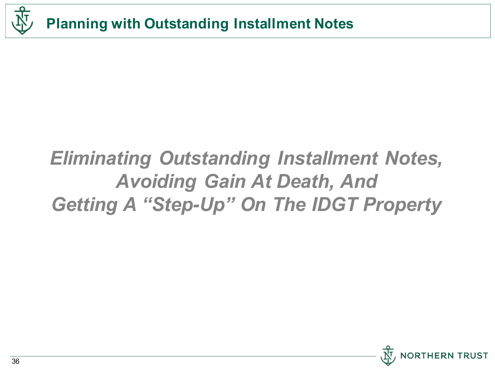

# *Eliminating Outstanding Installment Notes, Avoiding Gain At Death, And Getting A "Step-Up" On The IDGT Property*

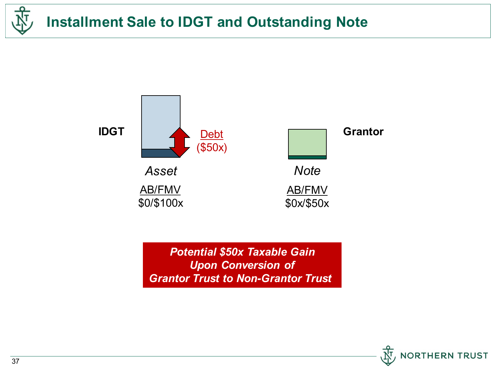



*Potential \$50x Taxable Gain Upon Conversion of Grantor Trust to Non-Grantor Trust* 

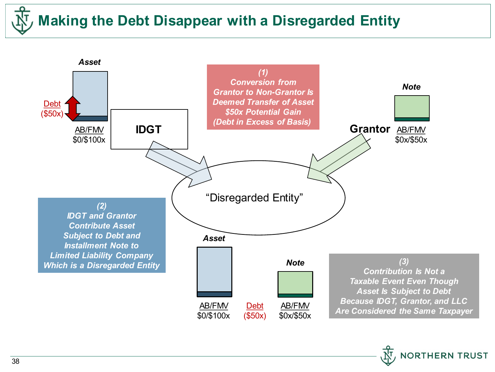# **Making the Debt Disappear with a Disregarded Entity**



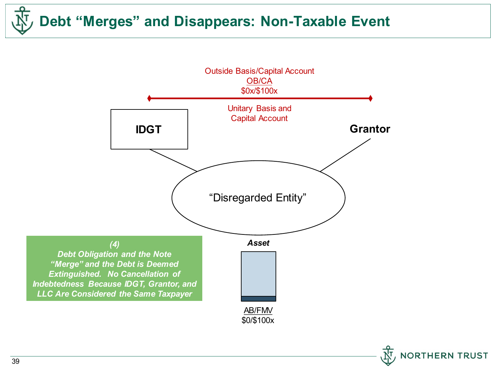**Debt "Merges" and Disappears: Non-Taxable Event**



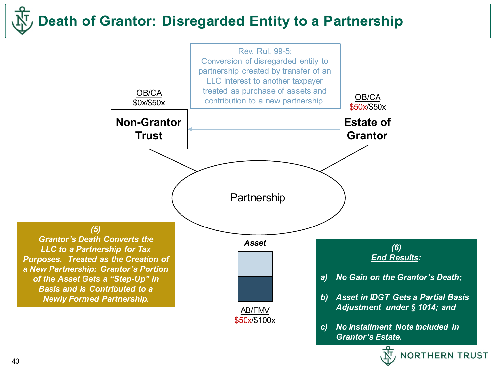## **Death of Grantor: Disregarded Entity to a Partnership**